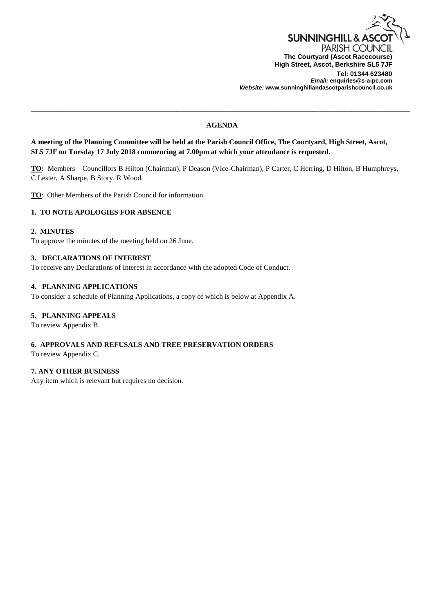

*Email:* **enquiries@s-a-pc.com** *Website:* **www.sunninghillandascotparishcouncil.co.uk**

## **AGENDA**

\_\_\_\_\_\_\_\_\_\_\_\_\_\_\_\_\_\_\_\_\_\_\_\_\_\_\_\_\_\_\_\_\_\_\_\_\_\_\_\_\_\_\_\_\_\_\_\_\_\_\_\_\_\_\_\_\_\_\_\_\_\_\_\_\_\_\_\_\_\_\_\_\_\_\_\_\_\_\_\_\_\_\_\_\_\_\_\_\_\_\_\_\_\_\_\_\_\_\_\_\_\_\_\_

**A meeting of the Planning Committee will be held at the Parish Council Office, The Courtyard, High Street, Ascot, SL5 7JF on Tuesday 17 July 2018 commencing at 7.00pm at which your attendance is requested.**

**TO:** Members – Councillors B Hilton (Chairman), P Deason (Vice-Chairman), P Carter, C Herring, D Hilton, B Humphreys, C Lester, A Sharpe, B Story, R Wood.

**TO**: Other Members of the Parish Council for information.

# **1. TO NOTE APOLOGIES FOR ABSENCE**

### **2. MINUTES**

To approve the minutes of the meeting held on 26 June.

### **3. DECLARATIONS OF INTEREST**

To receive any Declarations of Interest in accordance with the adopted Code of Conduct.

### **4. PLANNING APPLICATIONS**

To consider a schedule of Planning Applications, a copy of which is below at Appendix A.

## **5. PLANNING APPEALS**

To review Appendix B

### **6. APPROVALS AND REFUSALS AND TREE PRESERVATION ORDERS**

To review Appendix C.

### **7. ANY OTHER BUSINESS**

Any item which is relevant but requires no decision.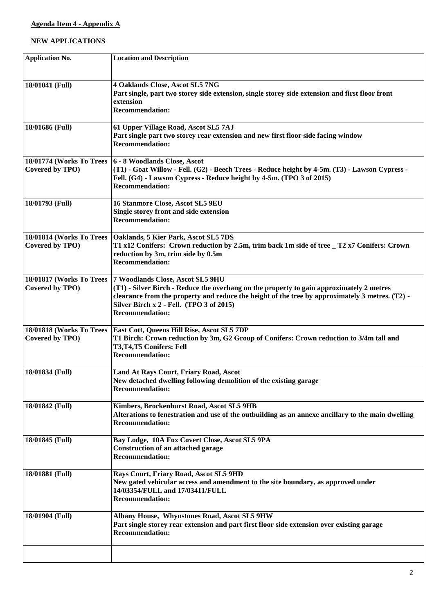# **NEW APPLICATIONS**

| <b>Application No.</b>                      | <b>Location and Description</b>                                                                                                                                                                                                                                                                       |
|---------------------------------------------|-------------------------------------------------------------------------------------------------------------------------------------------------------------------------------------------------------------------------------------------------------------------------------------------------------|
| 18/01041 (Full)                             | 4 Oaklands Close, Ascot SL5 7NG<br>Part single, part two storey side extension, single storey side extension and first floor front<br>extension<br><b>Recommendation:</b>                                                                                                                             |
| 18/01686 (Full)                             | 61 Upper Village Road, Ascot SL5 7AJ<br>Part single part two storey rear extension and new first floor side facing window<br><b>Recommendation:</b>                                                                                                                                                   |
| 18/01774 (Works To Trees<br>Covered by TPO) | 6 - 8 Woodlands Close, Ascot<br>(T1) - Goat Willow - Fell. (G2) - Beech Trees - Reduce height by 4-5m. (T3) - Lawson Cypress -<br>Fell. (G4) - Lawson Cypress - Reduce height by 4-5m. (TPO 3 of 2015)<br><b>Recommendation:</b>                                                                      |
| 18/01793 (Full)                             | 16 Stanmore Close, Ascot SL5 9EU<br>Single storey front and side extension<br><b>Recommendation:</b>                                                                                                                                                                                                  |
| 18/01814 (Works To Trees<br>Covered by TPO) | Oaklands, 5 Kier Park, Ascot SL5 7DS<br>T1 x12 Conifers: Crown reduction by 2.5m, trim back 1m side of tree _ T2 x7 Conifers: Crown<br>reduction by 3m, trim side by 0.5m<br><b>Recommendation:</b>                                                                                                   |
| 18/01817 (Works To Trees<br>Covered by TPO) | 7 Woodlands Close, Ascot SL5 9HU<br>(T1) - Silver Birch - Reduce the overhang on the property to gain approximately 2 metres<br>clearance from the property and reduce the height of the tree by approximately 3 metres. (T2) -<br>Silver Birch x 2 - Fell. (TPO 3 of 2015)<br><b>Recommendation:</b> |
| 18/01818 (Works To Trees<br>Covered by TPO) | East Cott, Queens Hill Rise, Ascot SL5 7DP<br>T1 Birch: Crown reduction by 3m, G2 Group of Conifers: Crown reduction to 3/4m tall and<br>T3,T4,T5 Conifers: Fell<br><b>Recommendation:</b>                                                                                                            |
| 18/01834 (Full)                             | Land At Rays Court, Friary Road, Ascot<br>New detached dwelling following demolition of the existing garage<br><b>Recommendation:</b>                                                                                                                                                                 |
| 18/01842 (Full)                             | Kimbers, Brockenhurst Road, Ascot SL5 9HB<br>Alterations to fenestration and use of the outbuilding as an annexe ancillary to the main dwelling<br><b>Recommendation:</b>                                                                                                                             |
| 18/01845 (Full)                             | Bay Lodge, 10A Fox Covert Close, Ascot SL5 9PA<br><b>Construction of an attached garage</b><br><b>Recommendation:</b>                                                                                                                                                                                 |
| 18/01881 (Full)                             | Rays Court, Friary Road, Ascot SL5 9HD<br>New gated vehicular access and amendment to the site boundary, as approved under<br>14/03354/FULL and 17/03411/FULL<br><b>Recommendation:</b>                                                                                                               |
| 18/01904 (Full)                             | Albany House, Whynstones Road, Ascot SL5 9HW<br>Part single storey rear extension and part first floor side extension over existing garage<br><b>Recommendation:</b>                                                                                                                                  |
|                                             |                                                                                                                                                                                                                                                                                                       |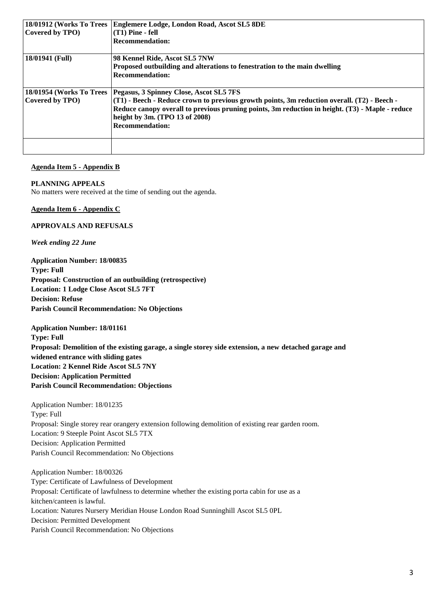| 18/01912 (Works To Trees<br>Covered by TPO) | Englemere Lodge, London Road, Ascot SL5 8DE<br>$(T1)$ Pine - fell<br><b>Recommendation:</b>                                                                                                                                                                                                           |
|---------------------------------------------|-------------------------------------------------------------------------------------------------------------------------------------------------------------------------------------------------------------------------------------------------------------------------------------------------------|
| 18/01941 (Full)                             | 98 Kennel Ride, Ascot SL5 7NW<br>Proposed outbuilding and alterations to fenestration to the main dwelling<br><b>Recommendation:</b>                                                                                                                                                                  |
| 18/01954 (Works To Trees<br>Covered by TPO) | Pegasus, 3 Spinney Close, Ascot SL5 7FS<br>(T1) - Beech - Reduce crown to previous growth points, 3m reduction overall. (T2) - Beech -<br>Reduce canopy overall to previous pruning points, 3m reduction in height. (T3) - Maple - reduce<br>height by 3m. (TPO 13 of 2008)<br><b>Recommendation:</b> |
|                                             |                                                                                                                                                                                                                                                                                                       |

### **Agenda Item 5 - Appendix B**

### **PLANNING APPEALS**

No matters were received at the time of sending out the agenda.

## **Agenda Item 6 - Appendix C**

## **APPROVALS AND REFUSALS**

*Week ending 22 June*

**Application Number: 18/00835 Type: Full Proposal: Construction of an outbuilding (retrospective) Location: 1 Lodge Close Ascot SL5 7FT Decision: Refuse Parish Council Recommendation: No Objections**

**Application Number: 18/01161**

**Type: Full Proposal: Demolition of the existing garage, a single storey side extension, a new detached garage and widened entrance with sliding gates Location: 2 Kennel Ride Ascot SL5 7NY Decision: Application Permitted Parish Council Recommendation: Objections**

Application Number: 18/01235 Type: Full Proposal: Single storey rear orangery extension following demolition of existing rear garden room. Location: 9 Steeple Point Ascot SL5 7TX Decision: Application Permitted Parish Council Recommendation: No Objections

Application Number: 18/00326 Type: Certificate of Lawfulness of Development Proposal: Certificate of lawfulness to determine whether the existing porta cabin for use as a kitchen/canteen is lawful. Location: Natures Nursery Meridian House London Road Sunninghill Ascot SL5 0PL Decision: Permitted Development Parish Council Recommendation: No Objections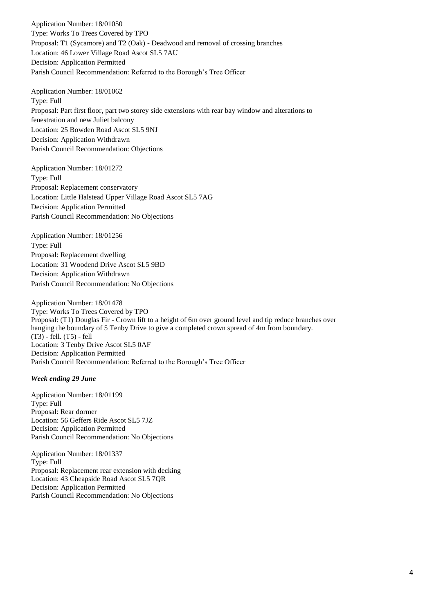Application Number: 18/01050 Type: Works To Trees Covered by TPO Proposal: T1 (Sycamore) and T2 (Oak) - Deadwood and removal of crossing branches Location: 46 Lower Village Road Ascot SL5 7AU Decision: Application Permitted Parish Council Recommendation: Referred to the Borough's Tree Officer

Application Number: 18/01062 Type: Full Proposal: Part first floor, part two storey side extensions with rear bay window and alterations to fenestration and new Juliet balcony Location: 25 Bowden Road Ascot SL5 9NJ Decision: Application Withdrawn Parish Council Recommendation: Objections

Application Number: 18/01272 Type: Full Proposal: Replacement conservatory Location: Little Halstead Upper Village Road Ascot SL5 7AG Decision: Application Permitted Parish Council Recommendation: No Objections

Application Number: 18/01256 Type: Full Proposal: Replacement dwelling Location: 31 Woodend Drive Ascot SL5 9BD Decision: Application Withdrawn Parish Council Recommendation: No Objections

Application Number: 18/01478 Type: Works To Trees Covered by TPO Proposal: (T1) Douglas Fir - Crown lift to a height of 6m over ground level and tip reduce branches over hanging the boundary of 5 Tenby Drive to give a completed crown spread of 4m from boundary. (T3) - fell. (T5) - fell Location: 3 Tenby Drive Ascot SL5 0AF Decision: Application Permitted Parish Council Recommendation: Referred to the Borough's Tree Officer

## *Week ending 29 June*

Application Number: 18/01199 Type: Full Proposal: Rear dormer Location: 56 Geffers Ride Ascot SL5 7JZ Decision: Application Permitted Parish Council Recommendation: No Objections

Application Number: 18/01337 Type: Full Proposal: Replacement rear extension with decking Location: 43 Cheapside Road Ascot SL5 7QR Decision: Application Permitted Parish Council Recommendation: No Objections